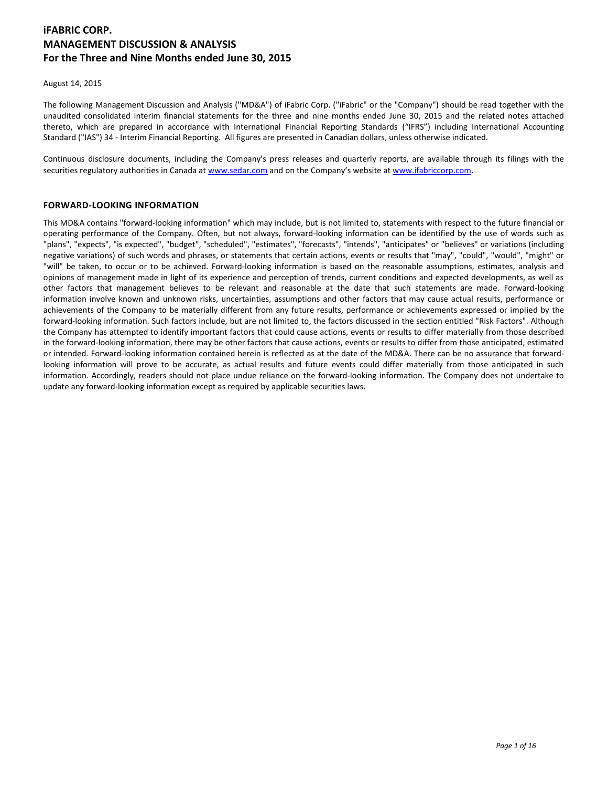# **iFABRIC CORP. MANAGEMENT DISCUSSION & ANALYSIS For the Three and Nine Months ended June 30, 2015**

August 14, 2015

The following Management Discussion and Analysis ("MD&A") of iFabric Corp. ("iFabric" or the "Company") should be read together with the unaudited consolidated interim financial statements for the three and nine months ended June 30, 2015 and the related notes attached thereto, which are prepared in accordance with International Financial Reporting Standards ("IFRS") including International Accounting Standard ("IAS") 34 - Interim Financial Reporting. All figures are presented in Canadian dollars, unless otherwise indicated.

Continuous disclosure documents, including the Company's press releases and quarterly reports, are available through its filings with the securities regulatory authorities in Canada a[t www.sedar.com](http://www.sedar.com/) and on the Company's website at [www.ifabriccorp.com.](http://www.ifabriccorp.com/)

## **FORWARD-LOOKING INFORMATION**

This MD&A contains "forward-looking information" which may include, but is not limited to, statements with respect to the future financial or operating performance of the Company. Often, but not always, forward-looking information can be identified by the use of words such as "plans", "expects", "is expected", "budget", "scheduled", "estimates", "forecasts", "intends", "anticipates" or "believes" or variations (including negative variations) of such words and phrases, or statements that certain actions, events or results that "may", "could", "would", "might" or "will" be taken, to occur or to be achieved. Forward-looking information is based on the reasonable assumptions, estimates, analysis and opinions of management made in light of its experience and perception of trends, current conditions and expected developments, as well as other factors that management believes to be relevant and reasonable at the date that such statements are made. Forward-looking information involve known and unknown risks, uncertainties, assumptions and other factors that may cause actual results, performance or achievements of the Company to be materially different from any future results, performance or achievements expressed or implied by the forward-looking information. Such factors include, but are not limited to, the factors discussed in the section entitled "Risk Factors". Although the Company has attempted to identify important factors that could cause actions, events or results to differ materially from those described in the forward-looking information, there may be other factors that cause actions, events or results to differ from those anticipated, estimated or intended. Forward-looking information contained herein is reflected as at the date of the MD&A. There can be no assurance that forwardlooking information will prove to be accurate, as actual results and future events could differ materially from those anticipated in such information. Accordingly, readers should not place undue reliance on the forward-looking information. The Company does not undertake to update any forward-looking information except as required by applicable securities laws.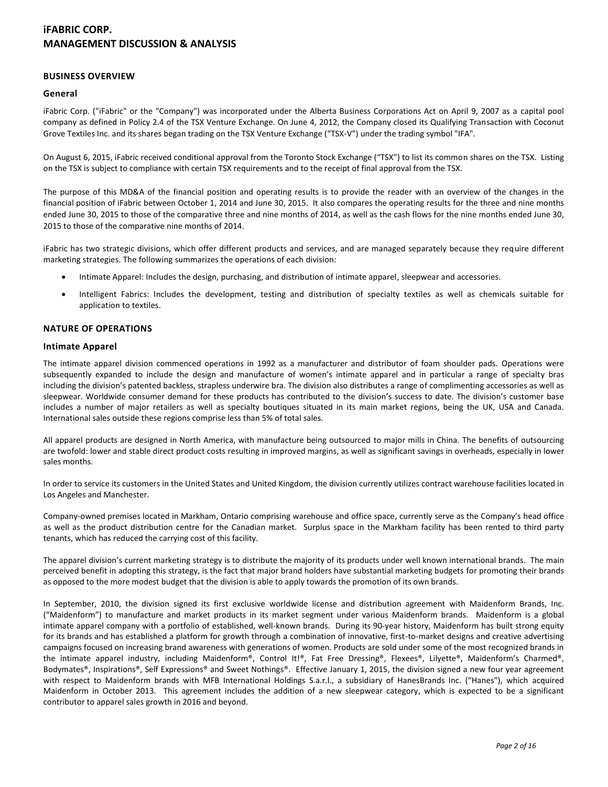### **BUSINESS OVERVIEW**

### **General**

iFabric Corp. ("iFabric" or the "Company") was incorporated under the Alberta Business Corporations Act on April 9, 2007 as a capital pool company as defined in Policy 2.4 of the TSX Venture Exchange. On June 4, 2012, the Company closed its Qualifying Transaction with Coconut Grove Textiles Inc. and its shares began trading on the TSX Venture Exchange ("TSX-V") under the trading symbol "IFA".

On August 6, 2015, iFabric received conditional approval from the Toronto Stock Exchange ("TSX") to list its common shares on the TSX. Listing on the TSX is subject to compliance with certain TSX requirements and to the receipt of final approval from the TSX.

The purpose of this MD&A of the financial position and operating results is to provide the reader with an overview of the changes in the financial position of iFabric between October 1, 2014 and June 30, 2015. It also compares the operating results for the three and nine months ended June 30, 2015 to those of the comparative three and nine months of 2014, as well as the cash flows for the nine months ended June 30, 2015 to those of the comparative nine months of 2014.

iFabric has two strategic divisions, which offer different products and services, and are managed separately because they require different marketing strategies. The following summarizes the operations of each division:

- Intimate Apparel: Includes the design, purchasing, and distribution of intimate apparel, sleepwear and accessories.
- Intelligent Fabrics: Includes the development, testing and distribution of specialty textiles as well as chemicals suitable for application to textiles.

## **NATURE OF OPERATIONS**

#### **Intimate Apparel**

The intimate apparel division commenced operations in 1992 as a manufacturer and distributor of foam shoulder pads. Operations were subsequently expanded to include the design and manufacture of women's intimate apparel and in particular a range of specialty bras including the division's patented backless, strapless underwire bra. The division also distributes a range of complimenting accessories as well as sleepwear. Worldwide consumer demand for these products has contributed to the division's success to date. The division's customer base includes a number of major retailers as well as specialty boutiques situated in its main market regions, being the UK, USA and Canada. International sales outside these regions comprise less than 5% of total sales.

All apparel products are designed in North America, with manufacture being outsourced to major mills in China. The benefits of outsourcing are twofold: lower and stable direct product costs resulting in improved margins, as well as significant savings in overheads, especially in lower sales months.

In order to service its customers in the United States and United Kingdom, the division currently utilizes contract warehouse facilities located in Los Angeles and Manchester.

Company-owned premises located in Markham, Ontario comprising warehouse and office space, currently serve as the Company's head office as well as the product distribution centre for the Canadian market. Surplus space in the Markham facility has been rented to third party tenants, which has reduced the carrying cost of this facility.

The apparel division's current marketing strategy is to distribute the majority of its products under well known international brands. The main perceived benefit in adopting this strategy, is the fact that major brand holders have substantial marketing budgets for promoting their brands as opposed to the more modest budget that the division is able to apply towards the promotion of its own brands.

In September, 2010, the division signed its first exclusive worldwide license and distribution agreement with Maidenform Brands, Inc. ("Maidenform") to manufacture and market products in its market segment under various Maidenform brands. Maidenform is a global intimate apparel company with a portfolio of established, well-known brands. During its 90-year history, Maidenform has built strong equity for its brands and has established a platform for growth through a combination of innovative, first-to-market designs and creative advertising campaigns focused on increasing brand awareness with generations of women. Products are sold under some of the most recognized brands in the intimate apparel industry, including Maidenform®, Control It!®, Fat Free Dressing®, Flexees®, Lilyette®, Maidenform's Charmed®, Bodymates®, Inspirations®, Self Expressions® and Sweet Nothings®. Effective January 1, 2015, the division signed a new four year agreement with respect to Maidenform brands with MFB International Holdings S.a.r.l., a subsidiary of HanesBrands Inc. ("Hanes"), which acquired Maidenform in October 2013. This agreement includes the addition of a new sleepwear category, which is expected to be a significant contributor to apparel sales growth in 2016 and beyond.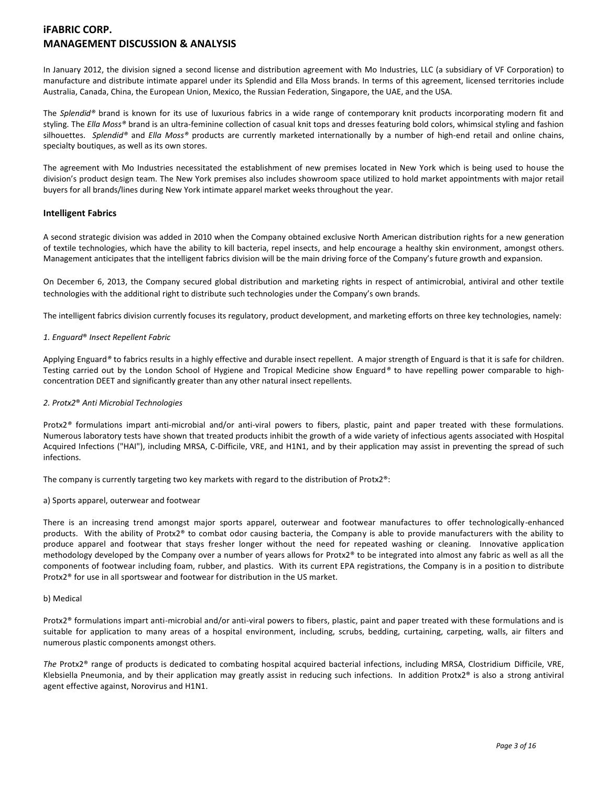In January 2012, the division signed a second license and distribution agreement with Mo Industries, LLC (a subsidiary of VF Corporation) to manufacture and distribute intimate apparel under its Splendid and Ella Moss brands. In terms of this agreement, licensed territories include Australia, Canada, China, the European Union, Mexico, the Russian Federation, Singapore, the UAE, and the USA.

The *Splendid®* brand is known for its use of luxurious fabrics in a wide range of contemporary knit products incorporating modern fit and styling. The *Ella Moss®* brand is an ultra-feminine collection of casual knit tops and dresses featuring bold colors, whimsical styling and fashion silhouettes. *Splendid®* and *Ella Moss®* products are currently marketed internationally by a number of high-end retail and online chains, specialty boutiques, as well as its own stores.

The agreement with Mo Industries necessitated the establishment of new premises located in New York which is being used to house the division's product design team. The New York premises also includes showroom space utilized to hold market appointments with major retail buyers for all brands/lines during New York intimate apparel market weeks throughout the year.

## **Intelligent Fabrics**

A second strategic division was added in 2010 when the Company obtained exclusive North American distribution rights for a new generation of textile technologies, which have the ability to kill bacteria, repel insects, and help encourage a healthy skin environment, amongst others. Management anticipates that the intelligent fabrics division will be the main driving force of the Company's future growth and expansion.

On December 6, 2013, the Company secured global distribution and marketing rights in respect of antimicrobial, antiviral and other textile technologies with the additional right to distribute such technologies under the Company's own brands.

The intelligent fabrics division currently focuses its regulatory, product development, and marketing efforts on three key technologies, namely:

### *1. Enguard*® *Insect Repellent Fabric*

Applying Enguard*®* to fabrics results in a highly effective and durable insect repellent. A major strength of Enguard is that it is safe for children. Testing carried out by the London School of Hygiene and Tropical Medicine show Enguard*®* to have repelling power comparable to highconcentration DEET and significantly greater than any other natural insect repellents.

## *2. Protx2*® *Anti Microbial Technologies*

Protx2*®* formulations impart anti-microbial and/or anti-viral powers to fibers, plastic, paint and paper treated with these formulations. Numerous laboratory tests have shown that treated products inhibit the growth of a wide variety of infectious agents associated with Hospital Acquired Infections ("HAI"), including MRSA, C-Difficile, VRE, and H1N1, and by their application may assist in preventing the spread of such infections.

The company is currently targeting two key markets with regard to the distribution of Protx2®:

#### a) Sports apparel, outerwear and footwear

There is an increasing trend amongst major sports apparel, outerwear and footwear manufactures to offer technologically-enhanced products. With the ability of Protx2® to combat odor causing bacteria, the Company is able to provide manufacturers with the ability to produce apparel and footwear that stays fresher longer without the need for repeated washing or cleaning. Innovative application methodology developed by the Company over a number of years allows for Protx2® to be integrated into almost any fabric as well as all the components of footwear including foam, rubber, and plastics. With its current EPA registrations, the Company is in a position to distribute Protx2® for use in all sportswear and footwear for distribution in the US market.

#### b) Medical

Protx2® formulations impart anti-microbial and/or anti-viral powers to fibers, plastic, paint and paper treated with these formulations and is suitable for application to many areas of a hospital environment, including, scrubs, bedding, curtaining, carpeting, walls, air filters and numerous plastic components amongst others.

*The* Protx2® range of products is dedicated to combating hospital acquired bacterial infections, including MRSA, Clostridium Difficile, VRE, Klebsiella Pneumonia, and by their application may greatly assist in reducing such infections. In addition Protx2® is also a strong antiviral agent effective against, Norovirus and H1N1.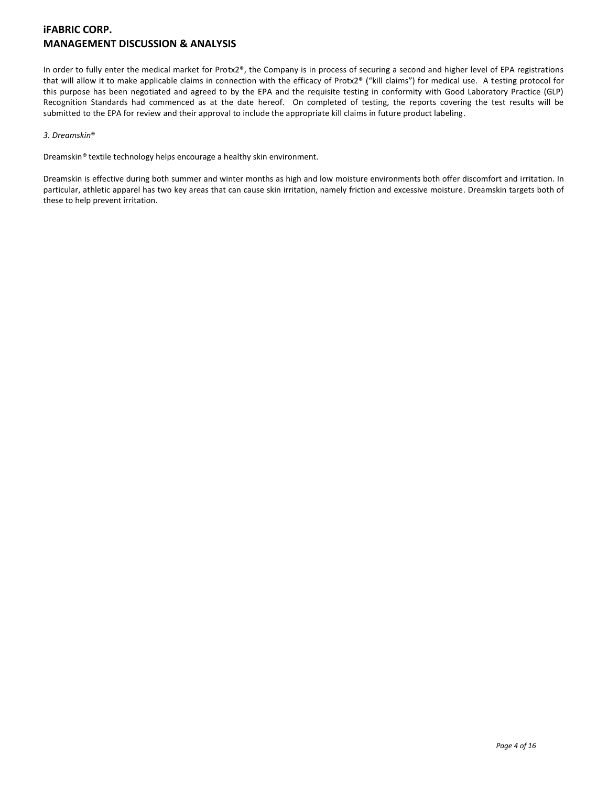In order to fully enter the medical market for Protx2®, the Company is in process of securing a second and higher level of EPA registrations that will allow it to make applicable claims in connection with the efficacy of Protx2® ("kill claims") for medical use. A testing protocol for this purpose has been negotiated and agreed to by the EPA and the requisite testing in conformity with Good Laboratory Practice (GLP) Recognition Standards had commenced as at the date hereof. On completed of testing, the reports covering the test results will be submitted to the EPA for review and their approval to include the appropriate kill claims in future product labeling.

## *3. Dreamskin*®

Dreamskin*®* textile technology helps encourage a healthy skin environment.

Dreamskin is effective during both summer and winter months as high and low moisture environments both offer discomfort and irritation. In particular, athletic apparel has two key areas that can cause skin irritation, namely friction and excessive moisture. Dreamskin targets both of these to help prevent irritation.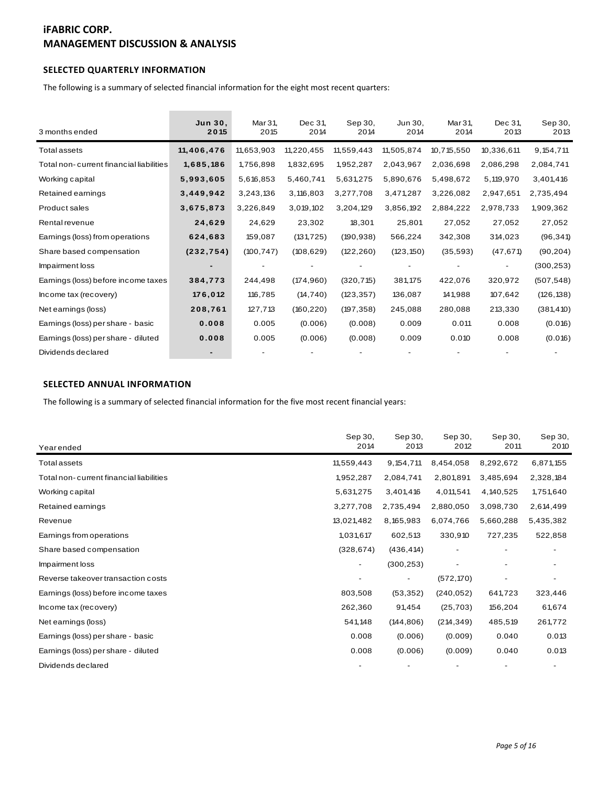## **SELECTED QUARTERLY INFORMATION**

| The following is a summary of selected financial information for the eight most recent quarters: |                 |                 |                 |                 |                 |                 |                 |                 |
|--------------------------------------------------------------------------------------------------|-----------------|-----------------|-----------------|-----------------|-----------------|-----------------|-----------------|-----------------|
| 3 months ended                                                                                   | Jun 30.<br>2015 | Mar 31,<br>2015 | Dec 31,<br>2014 | Sep 30,<br>2014 | Jun 30.<br>2014 | Mar 31,<br>2014 | Dec 31.<br>2013 | Sep 30,<br>2013 |
| <b>Total assets</b>                                                                              | 11,406,476      | 11,653,903      | 11,220,455      | 11,559,443      | 11,505,874      | 10,715,550      | 10,336,611      | 9, 154, 711     |
| Total non-current financial liabilities                                                          | 1,685,186       | 1,756,898       | 1,832,695       | 1,952,287       | 2,043,967       | 2,036,698       | 2,086,298       | 2,084,741       |
| Working capital                                                                                  | 5,993,605       | 5,616,853       | 5,460,741       | 5,631,275       | 5,890,676       | 5,498,672       | 5,119,970       | 3,401,416       |
| Retained earnings                                                                                | 3,449,942       | 3,243,136       | 3,116,803       | 3,277,708       | 3,471,287       | 3,226,082       | 2,947,651       | 2,735,494       |
| Product sales                                                                                    | 3,675,873       | 3,226,849       | 3,019,102       | 3,204,129       | 3,856,192       | 2,884,222       | 2,978,733       | 1,909,362       |
| Rental revenue                                                                                   | 24,629          | 24,629          | 23,302          | 18,301          | 25,801          | 27,052          | 27,052          | 27,052          |
| Earnings (loss) from operations                                                                  | 624,683         | 159,087         | (131, 725)      | (190, 938)      | 566,224         | 342,308         | 314,023         | (96, 341)       |
| Share based compensation                                                                         | (232, 754)      | (100, 747)      | (108, 629)      | (122, 260)      | (123, 150)      | (35, 593)       | (47, 671)       | (90, 204)       |
| Impairment loss                                                                                  |                 |                 |                 |                 |                 |                 |                 | (300, 253)      |
| Earnings (loss) before income taxes                                                              | 384,773         | 244,498         | (174, 960)      | (320, 715)      | 381,175         | 422,076         | 320,972         | (507, 548)      |
| Income tax (recovery)                                                                            | 176,012         | 116,785         | (14, 740)       | (123, 357)      | 136,087         | 141,988         | 107,642         | (126, 138)      |
| Net earnings (loss)                                                                              | 208,761         | 127,713         | (160, 220)      | (197, 358)      | 245,088         | 280,088         | 213,330         | (381, 410)      |
| Earnings (loss) per share - basic                                                                | 0.008           | 0.005           | (0.006)         | (0.008)         | 0.009           | 0.011           | 0.008           | (0.016)         |
| Earnings (loss) per share - diluted                                                              | 0.008           | 0.005           | (0.006)         | (0.008)         | 0.009           | 0.010           | 0.008           | (0.016)         |
| Dividends declared                                                                               |                 |                 |                 |                 |                 |                 |                 |                 |

## **SELECTED ANNUAL INFORMATION**

The following is a summary of selected financial information for the five most recent financial years:

| Yearended                               | Sep 30,<br>2014 | Sep 30,<br>2013 | Sep 30,<br>2012 | Sep 30,<br>2011 | Sep 30,<br>2010 |
|-----------------------------------------|-----------------|-----------------|-----------------|-----------------|-----------------|
| <b>Total assets</b>                     | 11,559,443      | 9, 154, 711     | 8,454,058       | 8,292,672       | 6,871,155       |
| Total non-current financial liabilities | 1,952,287       | 2,084,741       | 2,801,891       | 3,485,694       | 2,328,184       |
| Working capital                         | 5,631,275       | 3,401,416       | 4,011,541       | 4,140,525       | 1,751,640       |
| Retained earnings                       | 3,277,708       | 2,735,494       | 2,880,050       | 3,098,730       | 2,614,499       |
| Revenue                                 | 13,021,482      | 8,165,983       | 6,074,766       | 5,660,288       | 5,435,382       |
| Earnings from operations                | 1,031,617       | 602,513         | 330,910         | 727,235         | 522,858         |
| Share based compensation                | (328, 674)      | (436, 414)      |                 |                 |                 |
| Impairment loss                         |                 | (300, 253)      |                 |                 |                 |
| Reverse takeover transaction costs      |                 | ۰               | (572, 170)      |                 |                 |
| Earnings (loss) before income taxes     | 803,508         | (53, 352)       | (240, 052)      | 641,723         | 323,446         |
| Income tax (recovery)                   | 262,360         | 91,454          | (25, 703)       | 156,204         | 61,674          |
| Net earnings (loss)                     | 541,148         | (144, 806)      | (214, 349)      | 485,519         | 261,772         |
| Earnings (loss) per share - basic       | 0.008           | (0.006)         | (0.009)         | 0.040           | 0.013           |
| Earnings (loss) per share - diluted     | 0.008           | (0.006)         | (0.009)         | 0.040           | 0.013           |
| Dividends declared                      |                 |                 |                 |                 |                 |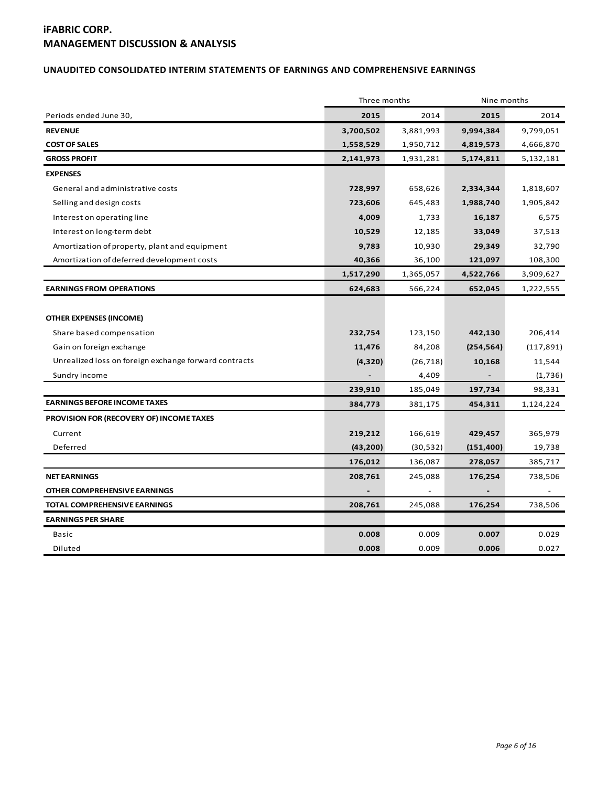## **UNAUDITED CONSOLIDATED INTERIM STATEMENTS OF EARNINGS AND COMPREHENSIVE EARNINGS**

|                                                       | Three months |           | Nine months |                |  |
|-------------------------------------------------------|--------------|-----------|-------------|----------------|--|
| Periods ended June 30,                                | 2015         | 2014      | 2015        | 2014           |  |
| <b>REVENUE</b>                                        | 3,700,502    | 3,881,993 | 9,994,384   | 9,799,051      |  |
| <b>COST OF SALES</b>                                  | 1,558,529    | 1,950,712 | 4,819,573   | 4,666,870      |  |
| <b>GROSS PROFIT</b>                                   | 2,141,973    | 1,931,281 | 5,174,811   | 5,132,181      |  |
| <b>EXPENSES</b>                                       |              |           |             |                |  |
| General and administrative costs                      | 728,997      | 658,626   | 2,334,344   | 1,818,607      |  |
| Selling and design costs                              | 723,606      | 645,483   | 1,988,740   | 1,905,842      |  |
| Interest on operating line                            | 4,009        | 1,733     | 16,187      | 6,575          |  |
| Interest on long-term debt                            | 10,529       | 12,185    | 33,049      | 37,513         |  |
| Amortization of property, plant and equipment         | 9,783        | 10,930    | 29,349      | 32,790         |  |
| Amortization of deferred development costs            | 40,366       | 36,100    | 121,097     | 108,300        |  |
|                                                       | 1,517,290    | 1,365,057 | 4,522,766   | 3,909,627      |  |
| <b>EARNINGS FROM OPERATIONS</b>                       | 624,683      | 566,224   | 652,045     | 1,222,555      |  |
| <b>OTHER EXPENSES (INCOME)</b>                        |              |           |             |                |  |
| Share based compensation                              | 232,754      | 123,150   | 442,130     | 206,414        |  |
| Gain on foreign exchange                              | 11,476       | 84,208    | (254, 564)  | (117, 891)     |  |
| Unrealized loss on foreign exchange forward contracts | (4,320)      | (26, 718) | 10,168      | 11,544         |  |
| Sundry income                                         |              | 4,409     |             | (1,736)        |  |
|                                                       | 239,910      | 185,049   | 197,734     | 98,331         |  |
| <b>EARNINGS BEFORE INCOME TAXES</b>                   | 384,773      | 381,175   | 454,311     | 1,124,224      |  |
| <b>PROVISION FOR (RECOVERY OF) INCOME TAXES</b>       |              |           |             |                |  |
| Current                                               | 219,212      | 166,619   | 429,457     | 365,979        |  |
| Deferred                                              | (43, 200)    | (30, 532) | (151, 400)  | 19,738         |  |
|                                                       | 176,012      | 136,087   | 278,057     | 385,717        |  |
| <b>NET EARNINGS</b>                                   | 208,761      | 245,088   | 176,254     | 738,506        |  |
| OTHER COMPREHENSIVE EARNINGS                          |              |           |             | $\blacksquare$ |  |
| TOTAL COMPREHENSIVE EARNINGS                          | 208,761      | 245,088   | 176,254     | 738,506        |  |
| <b>EARNINGS PER SHARE</b>                             |              |           |             |                |  |
| Basic                                                 | 0.008        | 0.009     | 0.007       | 0.029          |  |
| Diluted                                               | 0.008        | 0.009     | 0.006       | 0.027          |  |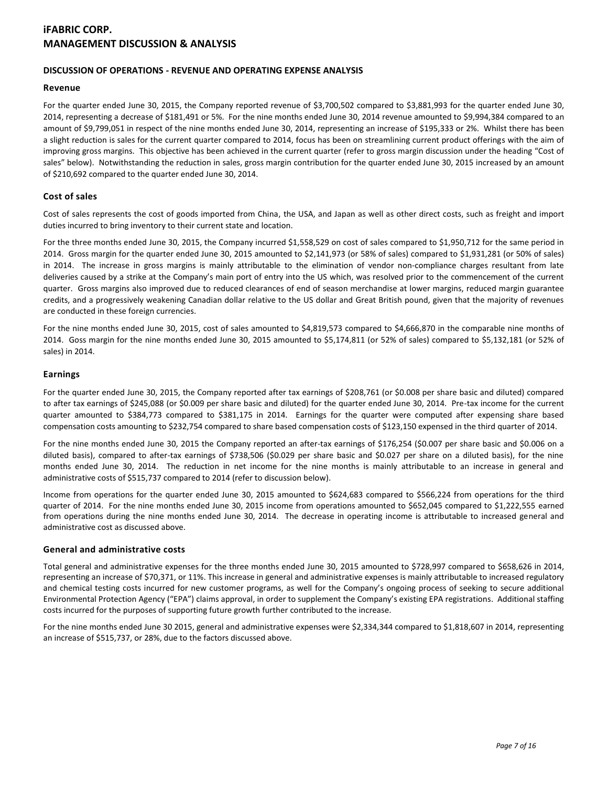## **DISCUSSION OF OPERATIONS - REVENUE AND OPERATING EXPENSE ANALYSIS**

### **Revenue**

For the quarter ended June 30, 2015, the Company reported revenue of \$3,700,502 compared to \$3,881,993 for the quarter ended June 30, 2014, representing a decrease of \$181,491 or 5%. For the nine months ended June 30, 2014 revenue amounted to \$9,994,384 compared to an amount of \$9,799,051 in respect of the nine months ended June 30, 2014, representing an increase of \$195,333 or 2%. Whilst there has been a slight reduction is sales for the current quarter compared to 2014, focus has been on streamlining current product offerings with the aim of improving gross margins. This objective has been achieved in the current quarter (refer to gross margin discussion under the heading "Cost of sales" below). Notwithstanding the reduction in sales, gross margin contribution for the quarter ended June 30, 2015 increased by an amount of \$210,692 compared to the quarter ended June 30, 2014.

## **Cost of sales**

Cost of sales represents the cost of goods imported from China, the USA, and Japan as well as other direct costs, such as freight and import duties incurred to bring inventory to their current state and location.

For the three months ended June 30, 2015, the Company incurred \$1,558,529 on cost of sales compared to \$1,950,712 for the same period in 2014. Gross margin for the quarter ended June 30, 2015 amounted to \$2,141,973 (or 58% of sales) compared to \$1,931,281 (or 50% of sales) in 2014. The increase in gross margins is mainly attributable to the elimination of vendor non-compliance charges resultant from late deliveries caused by a strike at the Company's main port of entry into the US which, was resolved prior to the commencement of the current quarter. Gross margins also improved due to reduced clearances of end of season merchandise at lower margins, reduced margin guarantee credits, and a progressively weakening Canadian dollar relative to the US dollar and Great British pound, given that the majority of revenues are conducted in these foreign currencies.

For the nine months ended June 30, 2015, cost of sales amounted to \$4,819,573 compared to \$4,666,870 in the comparable nine months of 2014. Goss margin for the nine months ended June 30, 2015 amounted to \$5,174,811 (or 52% of sales) compared to \$5,132,181 (or 52% of sales) in 2014.

### **Earnings**

For the quarter ended June 30, 2015, the Company reported after tax earnings of \$208,761 (or \$0.008 per share basic and diluted) compared to after tax earnings of \$245,088 (or \$0.009 per share basic and diluted) for the quarter ended June 30, 2014. Pre-tax income for the current quarter amounted to \$384,773 compared to \$381,175 in 2014. Earnings for the quarter were computed after expensing share based compensation costs amounting to \$232,754 compared to share based compensation costs of \$123,150 expensed in the third quarter of 2014.

For the nine months ended June 30, 2015 the Company reported an after-tax earnings of \$176,254 (\$0.007 per share basic and \$0.006 on a diluted basis), compared to after-tax earnings of \$738,506 (\$0.029 per share basic and \$0.027 per share on a diluted basis), for the nine months ended June 30, 2014. The reduction in net income for the nine months is mainly attributable to an increase in general and administrative costs of \$515,737 compared to 2014 (refer to discussion below).

Income from operations for the quarter ended June 30, 2015 amounted to \$624,683 compared to \$566,224 from operations for the third quarter of 2014. For the nine months ended June 30, 2015 income from operations amounted to \$652,045 compared to \$1,222,555 earned from operations during the nine months ended June 30, 2014. The decrease in operating income is attributable to increased general and administrative cost as discussed above.

## **General and administrative costs**

Total general and administrative expenses for the three months ended June 30, 2015 amounted to \$728,997 compared to \$658,626 in 2014, representing an increase of \$70,371, or 11%. This increase in general and administrative expenses is mainly attributable to increased regulatory and chemical testing costs incurred for new customer programs, as well for the Company's ongoing process of seeking to secure additional Environmental Protection Agency ("EPA") claims approval, in order to supplement the Company's existing EPA registrations. Additional staffing costs incurred for the purposes of supporting future growth further contributed to the increase.

For the nine months ended June 30 2015, general and administrative expenses were \$2,334,344 compared to \$1,818,607 in 2014, representing an increase of \$515,737, or 28%, due to the factors discussed above.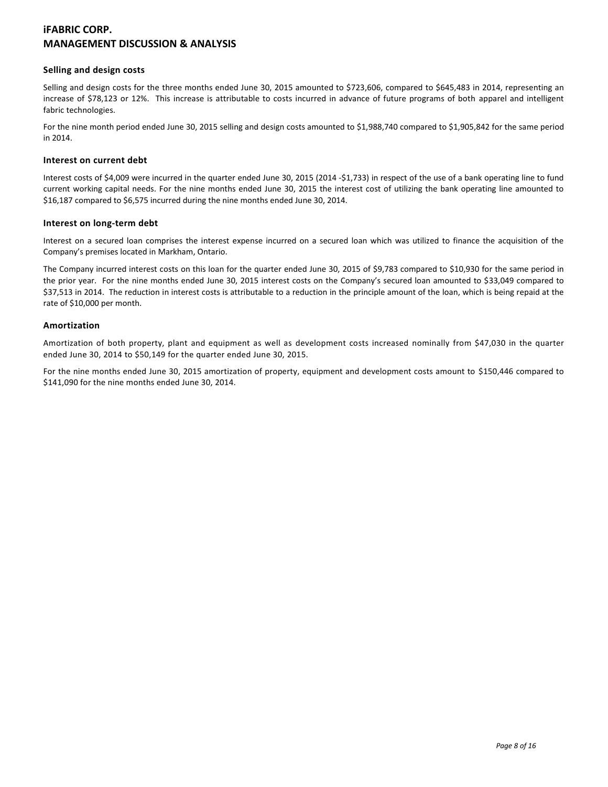### **Selling and design costs**

Selling and design costs for the three months ended June 30, 2015 amounted to \$723,606, compared to \$645,483 in 2014, representing an increase of \$78,123 or 12%. This increase is attributable to costs incurred in advance of future programs of both apparel and intelligent fabric technologies.

For the nine month period ended June 30, 2015 selling and design costs amounted to \$1,988,740 compared to \$1,905,842 for the same period in 2014.

#### **Interest on current debt**

Interest costs of \$4,009 were incurred in the quarter ended June 30, 2015 (2014 -\$1,733) in respect of the use of a bank operating line to fund current working capital needs. For the nine months ended June 30, 2015 the interest cost of utilizing the bank operating line amounted to \$16,187 compared to \$6,575 incurred during the nine months ended June 30, 2014.

### **Interest on long-term debt**

Interest on a secured loan comprises the interest expense incurred on a secured loan which was utilized to finance the acquisition of the Company's premises located in Markham, Ontario.

The Company incurred interest costs on this loan for the quarter ended June 30, 2015 of \$9,783 compared to \$10,930 for the same period in the prior year. For the nine months ended June 30, 2015 interest costs on the Company's secured loan amounted to \$33,049 compared to \$37,513 in 2014. The reduction in interest costs is attributable to a reduction in the principle amount of the loan, which is being repaid at the rate of \$10,000 per month.

## **Amortization**

Amortization of both property, plant and equipment as well as development costs increased nominally from \$47,030 in the quarter ended June 30, 2014 to \$50,149 for the quarter ended June 30, 2015.

For the nine months ended June 30, 2015 amortization of property, equipment and development costs amount to \$150,446 compared to \$141,090 for the nine months ended June 30, 2014.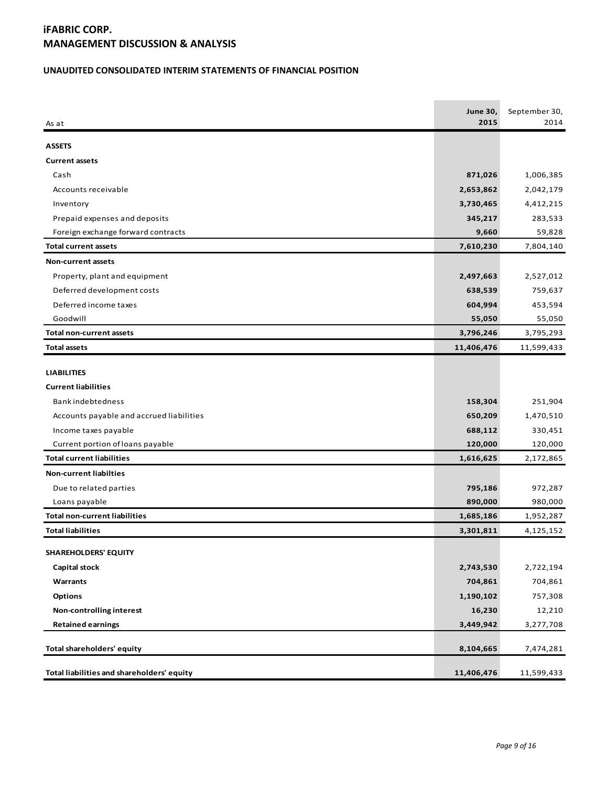## **UNAUDITED CONSOLIDATED INTERIM STATEMENTS OF FINANCIAL POSITION**

| As at                                      | <b>June 30,</b><br>2015 | September 30,<br>2014 |
|--------------------------------------------|-------------------------|-----------------------|
| <b>ASSETS</b>                              |                         |                       |
| <b>Current assets</b>                      |                         |                       |
| Cash                                       | 871,026                 | 1,006,385             |
| Accounts receivable                        | 2,653,862               | 2,042,179             |
| Inventory                                  | 3,730,465               | 4,412,215             |
| Prepaid expenses and deposits              | 345,217                 | 283,533               |
| Foreign exchange forward contracts         | 9,660                   | 59,828                |
| <b>Total current assets</b>                | 7,610,230               | 7,804,140             |
| Non-current assets                         |                         |                       |
| Property, plant and equipment              | 2,497,663               | 2,527,012             |
| Deferred development costs                 | 638,539                 | 759,637               |
| Deferred income taxes                      | 604,994                 | 453,594               |
| Goodwill                                   | 55,050                  | 55,050                |
| <b>Total non-current assets</b>            | 3,796,246               | 3,795,293             |
| <b>Total assets</b>                        | 11,406,476              | 11,599,433            |
|                                            |                         |                       |
| <b>LIABILITIES</b>                         |                         |                       |
| <b>Current liabilities</b>                 |                         |                       |
| <b>Bankindebtedness</b>                    | 158,304                 | 251,904               |
| Accounts payable and accrued liabilities   | 650,209                 | 1,470,510             |
| Income taxes payable                       | 688,112                 | 330,451               |
| Current portion of loans payable           | 120,000                 | 120,000               |
| <b>Total current liabilities</b>           | 1,616,625               | 2,172,865             |
| <b>Non-current liabilties</b>              |                         |                       |
| Due to related parties                     | 795,186                 | 972,287               |
| Loans payable                              | 890,000                 | 980,000               |
| <b>Total non-current liabilities</b>       | 1,685,186               | 1,952,287             |
| <b>Total liabilities</b>                   | 3,301,811               | 4,125,152             |
| <b>SHAREHOLDERS' EQUITY</b>                |                         |                       |
| <b>Capital stock</b>                       | 2,743,530               | 2,722,194             |
| Warrants                                   | 704,861                 | 704,861               |
| <b>Options</b>                             | 1,190,102               | 757,308               |
| Non-controlling interest                   | 16,230                  | 12,210                |
| <b>Retained earnings</b>                   | 3,449,942               | 3,277,708             |
|                                            |                         |                       |
| Total shareholders' equity                 | 8,104,665               | 7,474,281             |
| Total liabilities and shareholders' equity | 11,406,476              | 11,599,433            |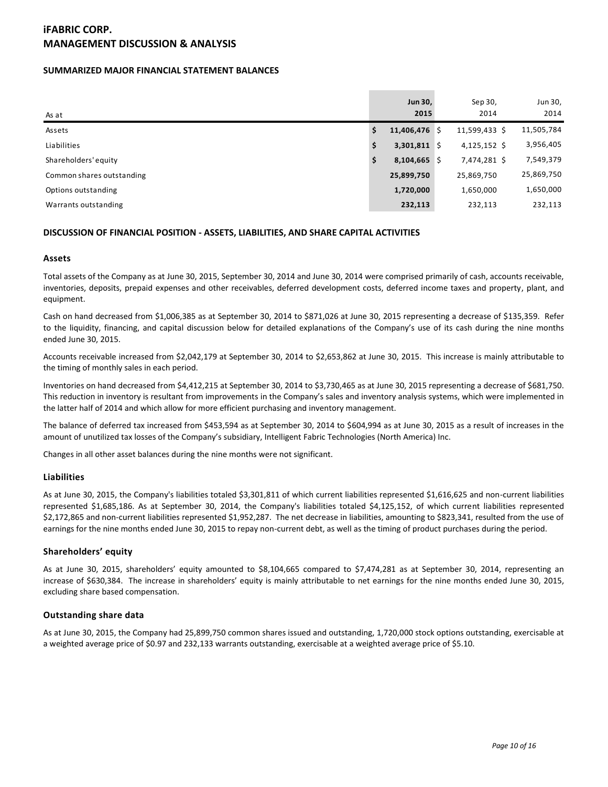### **SUMMARIZED MAJOR FINANCIAL STATEMENT BALANCES**

| As at                     |    | Jun 30,<br>2015 | Sep 30,<br>2014 | Jun 30,<br>2014 |
|---------------------------|----|-----------------|-----------------|-----------------|
| Assets                    | \$ | $11,406,476$ \$ | 11,599,433 \$   | 11,505,784      |
| Liabilities               | S  | $3,301,811$ \$  | $4,125,152$ \$  | 3,956,405       |
| Shareholders' equity      | \$ | $8,104,665$ \$  | 7,474,281 \$    | 7,549,379       |
| Common shares outstanding |    | 25,899,750      | 25,869,750      | 25,869,750      |
| Options outstanding       |    | 1,720,000       | 1,650,000       | 1,650,000       |
| Warrants outstanding      |    | 232,113         | 232,113         | 232,113         |

### **DISCUSSION OF FINANCIAL POSITION - ASSETS, LIABILITIES, AND SHARE CAPITAL ACTIVITIES**

#### **Assets**

Total assets of the Company as at June 30, 2015, September 30, 2014 and June 30, 2014 were comprised primarily of cash, accounts receivable, inventories, deposits, prepaid expenses and other receivables, deferred development costs, deferred income taxes and property, plant, and equipment.

Cash on hand decreased from \$1,006,385 as at September 30, 2014 to \$871,026 at June 30, 2015 representing a decrease of \$135,359. Refer to the liquidity, financing, and capital discussion below for detailed explanations of the Company's use of its cash during the nine months ended June 30, 2015.

Accounts receivable increased from \$2,042,179 at September 30, 2014 to \$2,653,862 at June 30, 2015. This increase is mainly attributable to the timing of monthly sales in each period.

Inventories on hand decreased from \$4,412,215 at September 30, 2014 to \$3,730,465 as at June 30, 2015 representing a decrease of \$681,750. This reduction in inventory is resultant from improvements in the Company's sales and inventory analysis systems, which were implemented in the latter half of 2014 and which allow for more efficient purchasing and inventory management.

The balance of deferred tax increased from \$453,594 as at September 30, 2014 to \$604,994 as at June 30, 2015 as a result of increases in the amount of unutilized tax losses of the Company's subsidiary, Intelligent Fabric Technologies (North America) Inc.

Changes in all other asset balances during the nine months were not significant.

#### **Liabilities**

As at June 30, 2015, the Company's liabilities totaled \$3,301,811 of which current liabilities represented \$1,616,625 and non-current liabilities represented \$1,685,186. As at September 30, 2014, the Company's liabilities totaled \$4,125,152, of which current liabilities represented \$2,172,865 and non-current liabilities represented \$1,952,287. The net decrease in liabilities, amounting to \$823,341, resulted from the use of earnings for the nine months ended June 30, 2015 to repay non-current debt, as well as the timing of product purchases during the period.

#### **Shareholders' equity**

As at June 30, 2015, shareholders' equity amounted to \$8,104,665 compared to \$7,474,281 as at September 30, 2014, representing an increase of \$630,384. The increase in shareholders' equity is mainly attributable to net earnings for the nine months ended June 30, 2015, excluding share based compensation.

#### **Outstanding share data**

As at June 30, 2015, the Company had 25,899,750 common shares issued and outstanding, 1,720,000 stock options outstanding, exercisable at a weighted average price of \$0.97 and 232,133 warrants outstanding, exercisable at a weighted average price of \$5.10.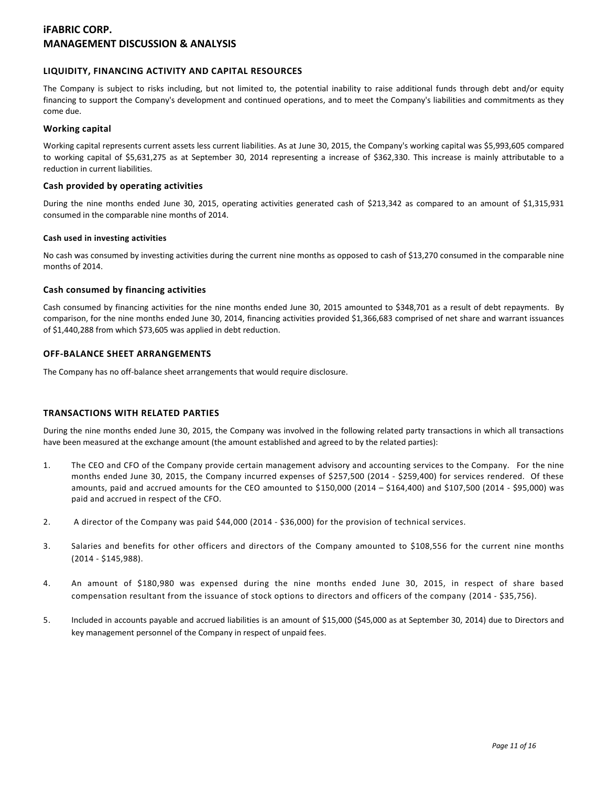## **LIQUIDITY, FINANCING ACTIVITY AND CAPITAL RESOURCES**

The Company is subject to risks including, but not limited to, the potential inability to raise additional funds through debt and/or equity financing to support the Company's development and continued operations, and to meet the Company's liabilities and commitments as they come due.

#### **Working capital**

Working capital represents current assets less current liabilities. As at June 30, 2015, the Company's working capital was \$5,993,605 compared to working capital of \$5,631,275 as at September 30, 2014 representing a increase of \$362,330. This increase is mainly attributable to a reduction in current liabilities.

### **Cash provided by operating activities**

During the nine months ended June 30, 2015, operating activities generated cash of \$213,342 as compared to an amount of \$1,315,931 consumed in the comparable nine months of 2014.

#### **Cash used in investing activities**

No cash was consumed by investing activities during the current nine months as opposed to cash of \$13,270 consumed in the comparable nine months of 2014.

## **Cash consumed by financing activities**

Cash consumed by financing activities for the nine months ended June 30, 2015 amounted to \$348,701 as a result of debt repayments. By comparison, for the nine months ended June 30, 2014, financing activities provided \$1,366,683 comprised of net share and warrant issuances of \$1,440,288 from which \$73,605 was applied in debt reduction.

## **OFF-BALANCE SHEET ARRANGEMENTS**

The Company has no off-balance sheet arrangements that would require disclosure.

#### **TRANSACTIONS WITH RELATED PARTIES**

During the nine months ended June 30, 2015, the Company was involved in the following related party transactions in which all transactions have been measured at the exchange amount (the amount established and agreed to by the related parties):

- 1. The CEO and CFO of the Company provide certain management advisory and accounting services to the Company. For the nine months ended June 30, 2015, the Company incurred expenses of \$257,500 (2014 - \$259,400) for services rendered. Of these amounts, paid and accrued amounts for the CEO amounted to \$150,000 (2014 – \$164,400) and \$107,500 (2014 - \$95,000) was paid and accrued in respect of the CFO.
- 2. A director of the Company was paid \$44,000 (2014 \$36,000) for the provision of technical services.
- 3. Salaries and benefits for other officers and directors of the Company amounted to \$108,556 for the current nine months (2014 - \$145,988).
- 4. An amount of \$180,980 was expensed during the nine months ended June 30, 2015, in respect of share based compensation resultant from the issuance of stock options to directors and officers of the company (2014 - \$35,756).
- 5. Included in accounts payable and accrued liabilities is an amount of \$15,000 (\$45,000 as at September 30, 2014) due to Directors and key management personnel of the Company in respect of unpaid fees.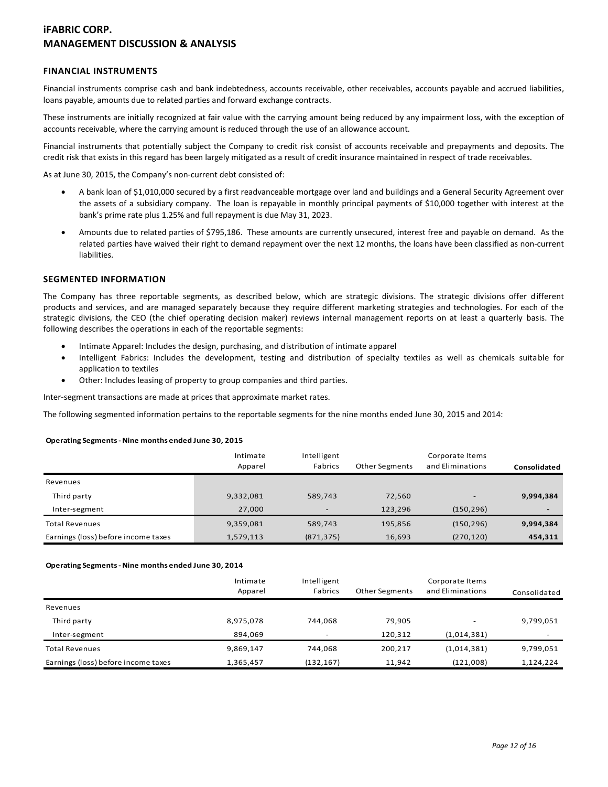## **FINANCIAL INSTRUMENTS**

Financial instruments comprise cash and bank indebtedness, accounts receivable, other receivables, accounts payable and accrued liabilities, loans payable, amounts due to related parties and forward exchange contracts.

These instruments are initially recognized at fair value with the carrying amount being reduced by any impairment loss, with the exception of accounts receivable, where the carrying amount is reduced through the use of an allowance account.

Financial instruments that potentially subject the Company to credit risk consist of accounts receivable and prepayments and deposits. The credit risk that exists in this regard has been largely mitigated as a result of credit insurance maintained in respect of trade receivables.

As at June 30, 2015, the Company's non-current debt consisted of:

- A bank loan of \$1,010,000 secured by a first readvanceable mortgage over land and buildings and a General Security Agreement over the assets of a subsidiary company. The loan is repayable in monthly principal payments of \$10,000 together with interest at the bank's prime rate plus 1.25% and full repayment is due May 31, 2023.
- Amounts due to related parties of \$795,186. These amounts are currently unsecured, interest free and payable on demand. As the related parties have waived their right to demand repayment over the next 12 months, the loans have been classified as non-current liabilities.

### **SEGMENTED INFORMATION**

The Company has three reportable segments, as described below, which are strategic divisions. The strategic divisions offer different products and services, and are managed separately because they require different marketing strategies and technologies. For each of the strategic divisions, the CEO (the chief operating decision maker) reviews internal management reports on at least a quarterly basis. The following describes the operations in each of the reportable segments:

- Intimate Apparel: Includes the design, purchasing, and distribution of intimate apparel
- Intelligent Fabrics: Includes the development, testing and distribution of specialty textiles as well as chemicals suitable for application to textiles
- Other: Includes leasing of property to group companies and third parties.

Inter-segment transactions are made at prices that approximate market rates.

The following segmented information pertains to the reportable segments for the nine months ended June 30, 2015 and 2014:

#### **Operating Segments - Nine months ended June 30, 2015**

|                                     | Intimate<br>Apparel | Intelligent<br>Fabrics   | <b>Other Segments</b> | Corporate Items<br>and Eliminations | Consolidated             |
|-------------------------------------|---------------------|--------------------------|-----------------------|-------------------------------------|--------------------------|
| Revenues                            |                     |                          |                       |                                     |                          |
| Third party                         | 9,332,081           | 589,743                  | 72,560                | -                                   | 9,994,384                |
| Inter-segment                       | 27,000              | $\overline{\phantom{a}}$ | 123,296               | (150, 296)                          | $\overline{\phantom{a}}$ |
| <b>Total Revenues</b>               | 9,359,081           | 589,743                  | 195,856               | (150, 296)                          | 9,994,384                |
| Earnings (loss) before income taxes | 1,579,113           | (871, 375)               | 16,693                | (270, 120)                          | 454,311                  |

#### **Operating Segments - Nine months ended June 30, 2014**

|                                     | Intimate<br>Apparel | Intelligent<br>Fabrics | Other Segments | Corporate Items<br>and Eliminations | Consolidated |
|-------------------------------------|---------------------|------------------------|----------------|-------------------------------------|--------------|
| Revenues                            |                     |                        |                |                                     |              |
| Third party                         | 8,975,078           | 744.068                | 79.905         |                                     | 9,799,051    |
| Inter-segment                       | 894.069             | ۰                      | 120.312        | (1,014,381)                         | -            |
| <b>Total Revenues</b>               | 9,869,147           | 744.068                | 200,217        | (1,014,381)                         | 9,799,051    |
| Earnings (loss) before income taxes | 1,365,457           | (132, 167)             | 11.942         | (121,008)                           | 1,124,224    |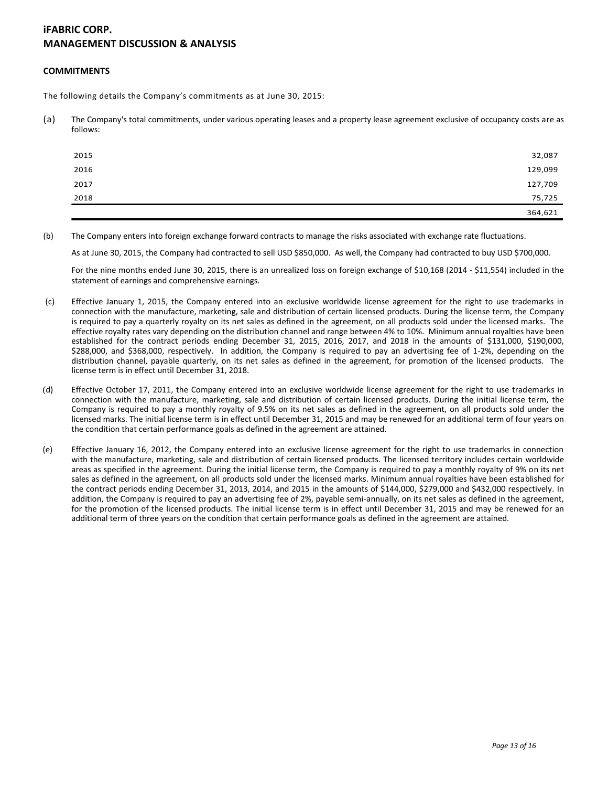#### **COMMITMENTS**

The following details the Company's commitments as at June 30, 2015:

(a) The Company's total commitments, under various operating leases and a property lease agreement exclusive of occupancy costs are as follows:

| 2015 | 32,087  |
|------|---------|
| 2016 | 129,099 |
| 2017 | 127,709 |
| 2018 | 75,725  |
|      | 364,621 |

(b) The Company enters into foreign exchange forward contracts to manage the risks associated with exchange rate fluctuations.

As at June 30, 2015, the Company had contracted to sell USD \$850,000. As well, the Company had contracted to buy USD \$700,000.

For the nine months ended June 30, 2015, there is an unrealized loss on foreign exchange of \$10,168 (2014 - \$11,554) included in the statement of earnings and comprehensive earnings.

- (c) Effective January 1, 2015, the Company entered into an exclusive worldwide license agreement for the right to use trademarks in connection with the manufacture, marketing, sale and distribution of certain licensed products. During the license term, the Company is required to pay a quarterly royalty on its net sales as defined in the agreement, on all products sold under the licensed marks. The effective royalty rates vary depending on the distribution channel and range between 4% to 10%. Minimum annual royalties have been established for the contract periods ending December 31, 2015, 2016, 2017, and 2018 in the amounts of \$131,000, \$190,000, \$288,000, and \$368,000, respectively. In addition, the Company is required to pay an advertising fee of 1-2%, depending on the distribution channel, payable quarterly, on its net sales as defined in the agreement, for promotion of the licensed products. The license term is in effect until December 31, 2018.
- (d) Effective October 17, 2011, the Company entered into an exclusive worldwide license agreement for the right to use trademarks in connection with the manufacture, marketing, sale and distribution of certain licensed products. During the initial license term, the Company is required to pay a monthly royalty of 9.5% on its net sales as defined in the agreement, on all products sold under the licensed marks. The initial license term is in effect until December 31, 2015 and may be renewed for an additional term of four years on the condition that certain performance goals as defined in the agreement are attained.
- (e) Effective January 16, 2012, the Company entered into an exclusive license agreement for the right to use trademarks in connection with the manufacture, marketing, sale and distribution of certain licensed products. The licensed territory includes certain worldwide areas as specified in the agreement. During the initial license term, the Company is required to pay a monthly royalty of 9% on its net sales as defined in the agreement, on all products sold under the licensed marks. Minimum annual royalties have been established for the contract periods ending December 31, 2013, 2014, and 2015 in the amounts of \$144,000, \$279,000 and \$432,000 respectively. In addition, the Company is required to pay an advertising fee of 2%, payable semi-annually, on its net sales as defined in the agreement, for the promotion of the licensed products. The initial license term is in effect until December 31, 2015 and may be renewed for an additional term of three years on the condition that certain performance goals as defined in the agreement are attained.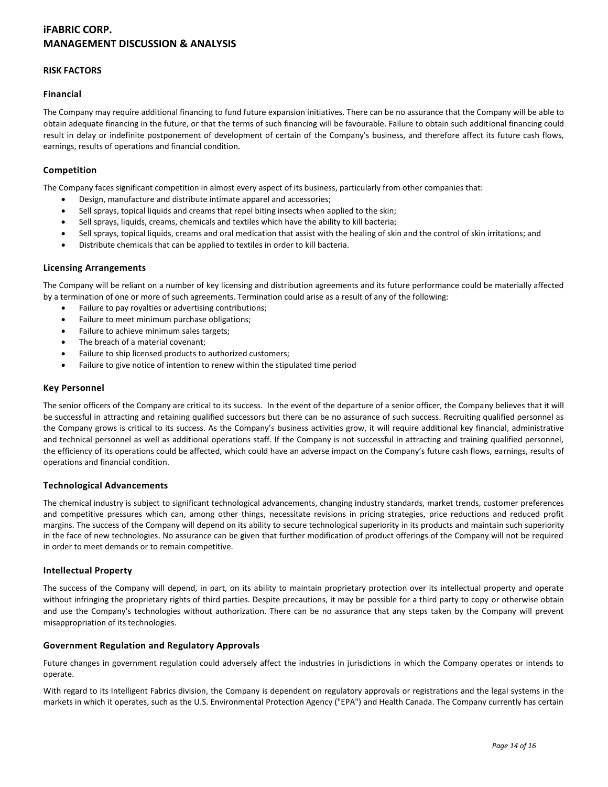### **RISK FACTORS**

### **Financial**

The Company may require additional financing to fund future expansion initiatives. There can be no assurance that the Company will be able to obtain adequate financing in the future, or that the terms of such financing will be favourable. Failure to obtain such additional financing could result in delay or indefinite postponement of development of certain of the Company's business, and therefore affect its future cash flows, earnings, results of operations and financial condition.

### **Competition**

The Company faces significant competition in almost every aspect of its business, particularly from other companies that:

- Design, manufacture and distribute intimate apparel and accessories;
- Sell sprays, topical liquids and creams that repel biting insects when applied to the skin;
- Sell sprays, liquids, creams, chemicals and textiles which have the ability to kill bacteria;
- Sell sprays, topical liquids, creams and oral medication that assist with the healing of skin and the control of skin irritations; and
- Distribute chemicals that can be applied to textiles in order to kill bacteria.

### **Licensing Arrangements**

The Company will be reliant on a number of key licensing and distribution agreements and its future performance could be materially affected by a termination of one or more of such agreements. Termination could arise as a result of any of the following:

- Failure to pay royalties or advertising contributions;
- Failure to meet minimum purchase obligations;
- Failure to achieve minimum sales targets:
- The breach of a material covenant;
- Failure to ship licensed products to authorized customers;
- Failure to give notice of intention to renew within the stipulated time period

### **Key Personnel**

The senior officers of the Company are critical to its success. In the event of the departure of a senior officer, the Company believes that it will be successful in attracting and retaining qualified successors but there can be no assurance of such success. Recruiting qualified personnel as the Company grows is critical to its success. As the Company's business activities grow, it will require additional key financial, administrative and technical personnel as well as additional operations staff. If the Company is not successful in attracting and training qualified personnel, the efficiency of its operations could be affected, which could have an adverse impact on the Company's future cash flows, earnings, results of operations and financial condition.

#### **Technological Advancements**

The chemical industry is subject to significant technological advancements, changing industry standards, market trends, customer preferences and competitive pressures which can, among other things, necessitate revisions in pricing strategies, price reductions and reduced profit margins. The success of the Company will depend on its ability to secure technological superiority in its products and maintain such superiority in the face of new technologies. No assurance can be given that further modification of product offerings of the Company will not be required in order to meet demands or to remain competitive.

#### **Intellectual Property**

The success of the Company will depend, in part, on its ability to maintain proprietary protection over its intellectual property and operate without infringing the proprietary rights of third parties. Despite precautions, it may be possible for a third party to copy or otherwise obtain and use the Company's technologies without authorization. There can be no assurance that any steps taken by the Company will prevent misappropriation of its technologies.

#### **Government Regulation and Regulatory Approvals**

Future changes in government regulation could adversely affect the industries in jurisdictions in which the Company operates or intends to operate.

With regard to its Intelligent Fabrics division, the Company is dependent on regulatory approvals or registrations and the legal systems in the markets in which it operates, such as the U.S. Environmental Protection Agency ("EPA") and Health Canada. The Company currently has certain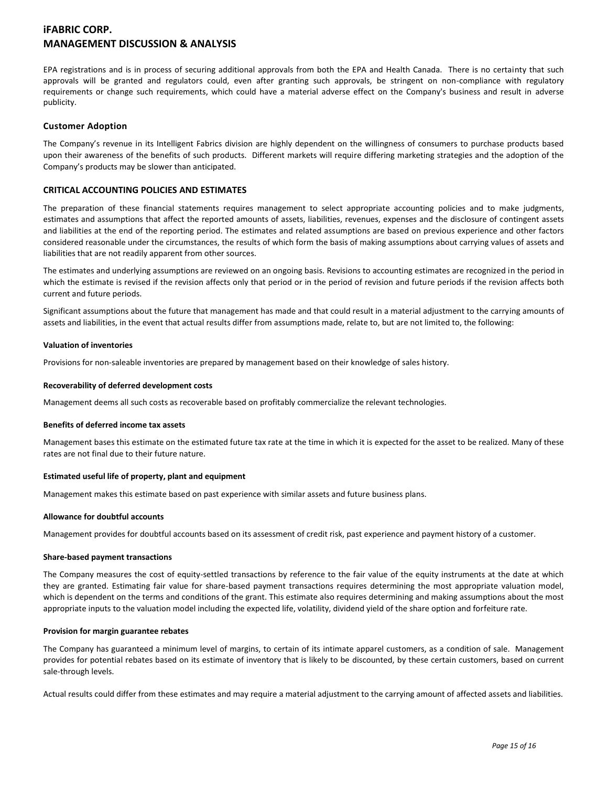EPA registrations and is in process of securing additional approvals from both the EPA and Health Canada. There is no certainty that such approvals will be granted and regulators could, even after granting such approvals, be stringent on non-compliance with regulatory requirements or change such requirements, which could have a material adverse effect on the Company's business and result in adverse publicity.

### **Customer Adoption**

The Company's revenue in its Intelligent Fabrics division are highly dependent on the willingness of consumers to purchase products based upon their awareness of the benefits of such products. Different markets will require differing marketing strategies and the adoption of the Company's products may be slower than anticipated.

### **CRITICAL ACCOUNTING POLICIES AND ESTIMATES**

The preparation of these financial statements requires management to select appropriate accounting policies and to make judgments, estimates and assumptions that affect the reported amounts of assets, liabilities, revenues, expenses and the disclosure of contingent assets and liabilities at the end of the reporting period. The estimates and related assumptions are based on previous experience and other factors considered reasonable under the circumstances, the results of which form the basis of making assumptions about carrying values of assets and liabilities that are not readily apparent from other sources.

The estimates and underlying assumptions are reviewed on an ongoing basis. Revisions to accounting estimates are recognized in the period in which the estimate is revised if the revision affects only that period or in the period of revision and future periods if the revision affects both current and future periods.

Significant assumptions about the future that management has made and that could result in a material adjustment to the carrying amounts of assets and liabilities, in the event that actual results differ from assumptions made, relate to, but are not limited to, the following:

#### **Valuation of inventories**

Provisions for non-saleable inventories are prepared by management based on their knowledge of sales history.

#### **Recoverability of deferred development costs**

Management deems all such costs as recoverable based on profitably commercialize the relevant technologies.

#### **Benefits of deferred income tax assets**

Management bases this estimate on the estimated future tax rate at the time in which it is expected for the asset to be realized. Many of these rates are not final due to their future nature.

#### **Estimated useful life of property, plant and equipment**

Management makes this estimate based on past experience with similar assets and future business plans.

#### **Allowance for doubtful accounts**

Management provides for doubtful accounts based on its assessment of credit risk, past experience and payment history of a customer.

#### **Share-based payment transactions**

The Company measures the cost of equity-settled transactions by reference to the fair value of the equity instruments at the date at which they are granted. Estimating fair value for share-based payment transactions requires determining the most appropriate valuation model, which is dependent on the terms and conditions of the grant. This estimate also requires determining and making assumptions about the most appropriate inputs to the valuation model including the expected life, volatility, dividend yield of the share option and forfeiture rate.

#### **Provision for margin guarantee rebates**

The Company has guaranteed a minimum level of margins, to certain of its intimate apparel customers, as a condition of sale. Management provides for potential rebates based on its estimate of inventory that is likely to be discounted, by these certain customers, based on current sale-through levels.

Actual results could differ from these estimates and may require a material adjustment to the carrying amount of affected assets and liabilities.